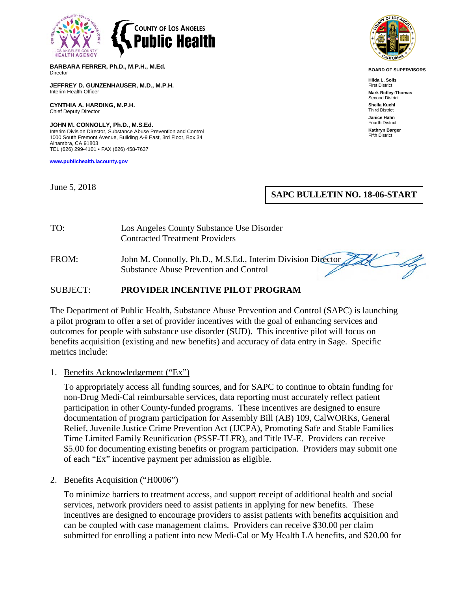

**BARBARA FERRER, Ph.D., M.P.H., M.Ed. Director** 

**JEFFREY D. GUNZENHAUSER, M.D., M.P.H.** Interim Health Officer

**CYNTHIA A. HARDING, M.P.H.** Chief Deputy Director

**JOHN M. CONNOLLY, Ph.D., M.S.Ed.** Interim Division Director, Substance Abuse Prevention and Control 1000 South Fremont Avenue, Building A-9 East, 3rd Floor, Box 34 Alhambra, CA 91803 TEL (626) 299-4101 • FAX (626) 458-7637

**[www.publichealth.lacounty.gov](http://www.publichealth.lacounty.gov/)**

June 5, 2018



**BOARD OF SUPERVISORS**

**Hilda L. Solis** First District **Mark Ridley-Thomas** Second District **Sheila Kuehl** Third District **Janice Hahn** Fourth District

**Kathryn Barger** Fifth District

## **SAPC BULLETIN NO. 18-06-START**

TO: Los Angeles County Substance Use Disorder Contracted Treatment Providers

FROM: John M. Connolly, Ph.D., M.S.Ed., Interim Division Director Substance Abuse Prevention and Control

#### SUBJECT: **PROVIDER INCENTIVE PILOT PROGRAM**

The Department of Public Health, Substance Abuse Prevention and Control (SAPC) is launching a pilot program to offer a set of provider incentives with the goal of enhancing services and outcomes for people with substance use disorder (SUD). This incentive pilot will focus on benefits acquisition (existing and new benefits) and accuracy of data entry in Sage. Specific metrics include:

#### 1. Benefits Acknowledgement ("Ex")

To appropriately access all funding sources, and for SAPC to continue to obtain funding for non-Drug Medi-Cal reimbursable services, data reporting must accurately reflect patient participation in other County-funded programs. These incentives are designed to ensure documentation of program participation for Assembly Bill (AB) 109, CalWORKs, General Relief, Juvenile Justice Crime Prevention Act (JJCPA), Promoting Safe and Stable Families Time Limited Family Reunification (PSSF-TLFR), and Title IV-E. Providers can receive \$5.00 for documenting existing benefits or program participation. Providers may submit one of each "Ex" incentive payment per admission as eligible.

#### 2. Benefits Acquisition ("H0006")

To minimize barriers to treatment access, and support receipt of additional health and social services, network providers need to assist patients in applying for new benefits. These incentives are designed to encourage providers to assist patients with benefits acquisition and can be coupled with case management claims. Providers can receive \$30.00 per claim submitted for enrolling a patient into new Medi-Cal or My Health LA benefits, and \$20.00 for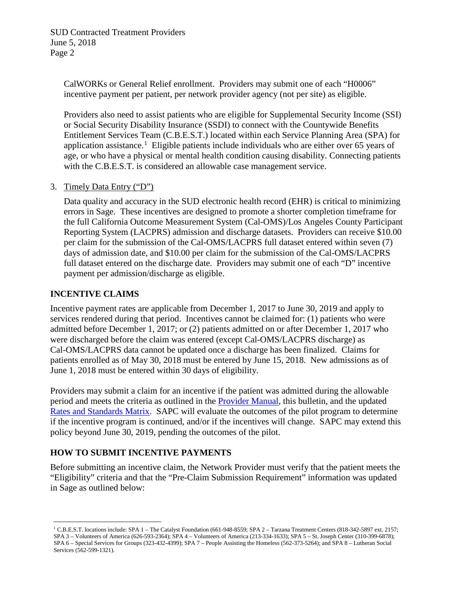CalWORKs or General Relief enrollment. Providers may submit one of each "H0006" incentive payment per patient, per network provider agency (not per site) as eligible.

Providers also need to assist patients who are eligible for Supplemental Security Income (SSI) or Social Security Disability Insurance (SSDI) to connect with the Countywide Benefits Entitlement Services Team (C.B.E.S.T.) located within each Service Planning Area (SPA) for application assistance.<sup>[1](#page-1-0)</sup> Eligible patients include individuals who are either over 65 years of age, or who have a physical or mental health condition causing disability. Connecting patients with the C.B.E.S.T. is considered an allowable case management service.

## 3. Timely Data Entry ("D")

Data quality and accuracy in the SUD electronic health record (EHR) is critical to minimizing errors in Sage. These incentives are designed to promote a shorter completion timeframe for the full California Outcome Measurement System (Cal-OMS)/Los Angeles County Participant Reporting System (LACPRS) admission and discharge datasets. Providers can receive \$10.00 per claim for the submission of the Cal-OMS/LACPRS full dataset entered within seven (7) days of admission date, and \$10.00 per claim for the submission of the Cal-OMS/LACPRS full dataset entered on the discharge date. Providers may submit one of each "D" incentive payment per admission/discharge as eligible.

## **INCENTIVE CLAIMS**

Incentive payment rates are applicable from December 1, 2017 to June 30, 2019 and apply to services rendered during that period. Incentives cannot be claimed for: (1) patients who were admitted before December 1, 2017; or (2) patients admitted on or after December 1, 2017 who were discharged before the claim was entered (except Cal-OMS/LACPRS discharge) as Cal-OMS/LACPRS data cannot be updated once a discharge has been finalized. Claims for patients enrolled as of May 30, 2018 must be entered by June 15, 2018. New admissions as of June 1, 2018 must be entered within 30 days of eligibility.

Providers may submit a claim for an incentive if the patient was admitted during the allowable period and meets the criteria as outlined in the [Provider Manual,](http://publichealth.lacounty.gov/sapc/NetworkProviders/Privacy/ProviderManual.pdf) this bulletin, and the updated [Rates and Standards Matrix.](http://publichealth.lacounty.gov/sapc/NetworkProviders/FinanceForms/RatesAndStandardsMatrixFY1718.pdf) SAPC will evaluate the outcomes of the pilot program to determine if the incentive program is continued, and/or if the incentives will change. SAPC may extend this policy beyond June 30, 2019, pending the outcomes of the pilot.

# **HOW TO SUBMIT INCENTIVE PAYMENTS**

Before submitting an incentive claim, the Network Provider must verify that the patient meets the "Eligibility" criteria and that the "Pre-Claim Submission Requirement" information was updated in Sage as outlined below:

<span id="page-1-0"></span><sup>&</sup>lt;sup>1</sup> C.B.E.S.T. locations include: SPA 1 – The Catalyst Foundation (661-948-8559; SPA 2 – Tarzana Treatment Centers (818-342-5897 ext. 2157; SPA 3 – Volunteers of America (626-593-2364); SPA 4 – Volunteers of America (213-334-1633); SPA 5 – St. Joseph Center (310-399-6878); SPA 6 – Special Services for Groups (323-432-4399); SPA 7 – People Assisting the Homeless (562-373-5264); and SPA 8 – Lutheran Social Services (562-599-1321).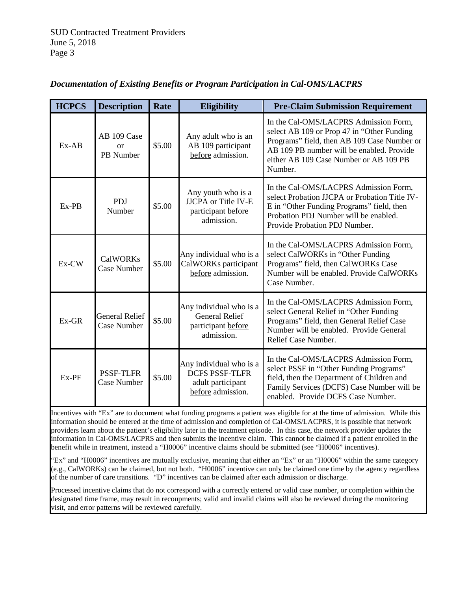| <b>HCPCS</b> | <b>Description</b>                          | Rate   | <b>Eligibility</b>                                                                         | <b>Pre-Claim Submission Requirement</b>                                                                                                                                                                                              |
|--------------|---------------------------------------------|--------|--------------------------------------------------------------------------------------------|--------------------------------------------------------------------------------------------------------------------------------------------------------------------------------------------------------------------------------------|
| $Ex-AB$      | AB 109 Case<br><sub>or</sub><br>PB Number   | \$5.00 | Any adult who is an<br>AB 109 participant<br>before admission.                             | In the Cal-OMS/LACPRS Admission Form,<br>select AB 109 or Prop 47 in "Other Funding<br>Programs" field, then AB 109 Case Number or<br>AB 109 PB number will be enabled. Provide<br>either AB 109 Case Number or AB 109 PB<br>Number. |
| Ex-PB        | <b>PDJ</b><br>Number                        | \$5.00 | Any youth who is a<br><b>JJCPA</b> or Title IV-E<br>participant before<br>admission.       | In the Cal-OMS/LACPRS Admission Form,<br>select Probation JJCPA or Probation Title IV-<br>E in "Other Funding Programs" field, then<br>Probation PDJ Number will be enabled.<br>Provide Probation PDJ Number.                        |
| Ex-CW        | <b>CalWORKs</b><br><b>Case Number</b>       | \$5.00 | Any individual who is a<br>CalWORKs participant<br>before admission.                       | In the Cal-OMS/LACPRS Admission Form,<br>select CalWORKs in "Other Funding<br>Programs" field, then CalWORKs Case<br>Number will be enabled. Provide CalWORKs<br>Case Number.                                                        |
| $Ex-GR$      | <b>General Relief</b><br><b>Case Number</b> | \$5.00 | Any individual who is a<br><b>General Relief</b><br>participant before<br>admission.       | In the Cal-OMS/LACPRS Admission Form,<br>select General Relief in "Other Funding<br>Programs" field, then General Relief Case<br>Number will be enabled. Provide General<br>Relief Case Number.                                      |
| Ex-PF        | <b>PSSF-TLFR</b><br><b>Case Number</b>      | \$5.00 | Any individual who is a<br><b>DCFS PSSF-TLFR</b><br>adult participant<br>before admission. | In the Cal-OMS/LACPRS Admission Form,<br>select PSSF in "Other Funding Programs"<br>field, then the Department of Children and<br>Family Services (DCFS) Case Number will be<br>enabled. Provide DCFS Case Number.                   |

# *Documentation of Existing Benefits or Program Participation in Cal-OMS/LACPRS*

Incentives with "Ex" are to document what funding programs a patient was eligible for at the time of admission. While this information should be entered at the time of admission and completion of Cal-OMS/LACPRS, it is possible that network providers learn about the patient's eligibility later in the treatment episode. In this case, the network provider updates the information in Cal-OMS/LACPRS and then submits the incentive claim. This cannot be claimed if a patient enrolled in the benefit while in treatment, instead a "H0006" incentive claims should be submitted (see "H0006" incentives).

"Ex" and "H0006" incentives are mutually exclusive, meaning that either an "Ex" or an "H0006" within the same category (e.g., CalWORKs) can be claimed, but not both. "H0006" incentive can only be claimed one time by the agency regardless of the number of care transitions. "D" incentives can be claimed after each admission or discharge.

Processed incentive claims that do not correspond with a correctly entered or valid case number, or completion within the designated time frame, may result in recoupments; valid and invalid claims will also be reviewed during the monitoring visit, and error patterns will be reviewed carefully.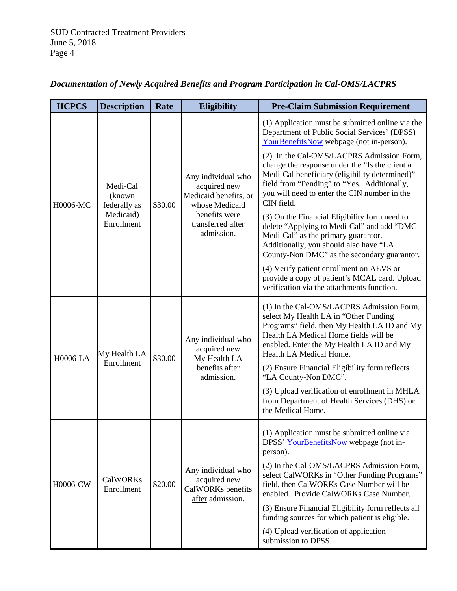| <b>HCPCS</b> | <b>Description</b>                                             | Rate    | <b>Eligibility</b>                                                                                                                | <b>Pre-Claim Submission Requirement</b>                                                                                                                                                                                                                    |
|--------------|----------------------------------------------------------------|---------|-----------------------------------------------------------------------------------------------------------------------------------|------------------------------------------------------------------------------------------------------------------------------------------------------------------------------------------------------------------------------------------------------------|
| H0006-MC     | Medi-Cal<br>(known)<br>federally as<br>Medicaid)<br>Enrollment | \$30.00 | Any individual who<br>acquired new<br>Medicaid benefits, or<br>whose Medicaid<br>benefits were<br>transferred after<br>admission. | (1) Application must be submitted online via the<br>Department of Public Social Services' (DPSS)<br>YourBenefitsNow webpage (not in-person).                                                                                                               |
|              |                                                                |         |                                                                                                                                   | (2) In the Cal-OMS/LACPRS Admission Form,<br>change the response under the "Is the client a<br>Medi-Cal beneficiary (eligibility determined)"<br>field from "Pending" to "Yes. Additionally,<br>you will need to enter the CIN number in the<br>CIN field. |
|              |                                                                |         |                                                                                                                                   | (3) On the Financial Eligibility form need to<br>delete "Applying to Medi-Cal" and add "DMC<br>Medi-Cal" as the primary guarantor.<br>Additionally, you should also have "LA<br>County-Non DMC" as the secondary guarantor.                                |
|              |                                                                |         |                                                                                                                                   | (4) Verify patient enrollment on AEVS or<br>provide a copy of patient's MCAL card. Upload<br>verification via the attachments function.                                                                                                                    |
| H0006-LA     | My Health LA<br>Enrollment                                     | \$30.00 | Any individual who<br>acquired new<br>My Health LA<br>benefits after<br>admission.                                                | (1) In the Cal-OMS/LACPRS Admission Form,<br>select My Health LA in "Other Funding<br>Programs" field, then My Health LA ID and My<br>Health LA Medical Home fields will be<br>enabled. Enter the My Health LA ID and My<br>Health LA Medical Home.        |
|              |                                                                |         |                                                                                                                                   | (2) Ensure Financial Eligibility form reflects<br>"LA County-Non DMC".                                                                                                                                                                                     |
|              |                                                                |         |                                                                                                                                   | (3) Upload verification of enrollment in MHLA<br>from Department of Health Services (DHS) or<br>the Medical Home.                                                                                                                                          |
| H0006-CW     | <b>CalWORKs</b><br>Enrollment                                  | \$20.00 | Any individual who<br>acquired new<br>CalWORKs benefits<br>after admission.                                                       | (1) Application must be submitted online via<br>DPSS' YourBenefitsNow webpage (not in-<br>person).                                                                                                                                                         |
|              |                                                                |         |                                                                                                                                   | (2) In the Cal-OMS/LACPRS Admission Form,<br>select CalWORKs in "Other Funding Programs"<br>field, then CalWORKs Case Number will be<br>enabled. Provide CalWORKs Case Number.                                                                             |
|              |                                                                |         |                                                                                                                                   | (3) Ensure Financial Eligibility form reflects all<br>funding sources for which patient is eligible.                                                                                                                                                       |
|              |                                                                |         |                                                                                                                                   | (4) Upload verification of application<br>submission to DPSS.                                                                                                                                                                                              |

# *Documentation of Newly Acquired Benefits and Program Participation in Cal-OMS/LACPRS*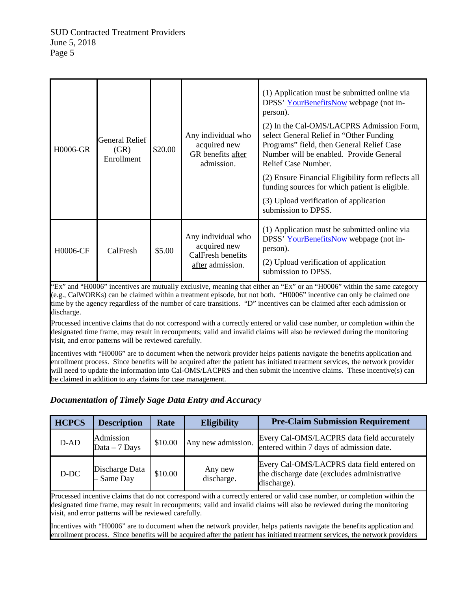| <b>H0006-GR</b> | General Relief<br>(GR)<br>Enrollment | \$20.00 | Any individual who<br>acquired new<br>GR benefits after<br>admission.       | (1) Application must be submitted online via<br>DPSS' YourBenefitsNow webpage (not in-<br>person).<br>(2) In the Cal-OMS/LACPRS Admission Form,<br>select General Relief in "Other Funding"<br>Programs" field, then General Relief Case<br>Number will be enabled. Provide General<br>Relief Case Number.<br>(2) Ensure Financial Eligibility form reflects all<br>funding sources for which patient is eligible.<br>(3) Upload verification of application<br>submission to DPSS. |
|-----------------|--------------------------------------|---------|-----------------------------------------------------------------------------|-------------------------------------------------------------------------------------------------------------------------------------------------------------------------------------------------------------------------------------------------------------------------------------------------------------------------------------------------------------------------------------------------------------------------------------------------------------------------------------|
| H0006-CF        | CalFresh                             | \$5.00  | Any individual who<br>acquired new<br>CalFresh benefits<br>after admission. | (1) Application must be submitted online via<br>DPSS' YourBenefitsNow webpage (not in-<br>person).<br>(2) Upload verification of application<br>submission to DPSS.                                                                                                                                                                                                                                                                                                                 |

"Ex" and "H0006" incentives are mutually exclusive, meaning that either an "Ex" or an "H0006" within the same category (e.g., CalWORKs) can be claimed within a treatment episode, but not both. "H0006" incentive can only be claimed one time by the agency regardless of the number of care transitions. "D" incentives can be claimed after each admission or discharge.

Processed incentive claims that do not correspond with a correctly entered or valid case number, or completion within the designated time frame, may result in recoupments; valid and invalid claims will also be reviewed during the monitoring visit, and error patterns will be reviewed carefully.

Incentives with "H0006" are to document when the network provider helps patients navigate the benefits application and enrollment process. Since benefits will be acquired after the patient has initiated treatment services, the network provider will need to update the information into Cal-OMS/LACPRS and then submit the incentive claims. These incentive(s) can be claimed in addition to any claims for case management.

## *Documentation of Timely Sage Data Entry and Accuracy*

| <b>HCPCS</b> | <b>Description</b>           | Rate    | <b>Eligibility</b>    | <b>Pre-Claim Submission Requirement</b>                                                                  |
|--------------|------------------------------|---------|-----------------------|----------------------------------------------------------------------------------------------------------|
| $D-AD$       | Admission<br>Data $-7$ Days  | \$10.00 | Any new admission.    | Every Cal-OMS/LACPRS data field accurately<br>entered within 7 days of admission date.                   |
| D-DC         | Discharge Data<br>- Same Day | \$10.00 | Any new<br>discharge. | Every Cal-OMS/LACPRS data field entered on<br>the discharge date (excludes administrative<br>discharge). |

Processed incentive claims that do not correspond with a correctly entered or valid case number, or completion within the designated time frame, may result in recoupments; valid and invalid claims will also be reviewed during the monitoring visit, and error patterns will be reviewed carefully.

Incentives with "H0006" are to document when the network provider, helps patients navigate the benefits application and enrollment process. Since benefits will be acquired after the patient has initiated treatment services, the network providers